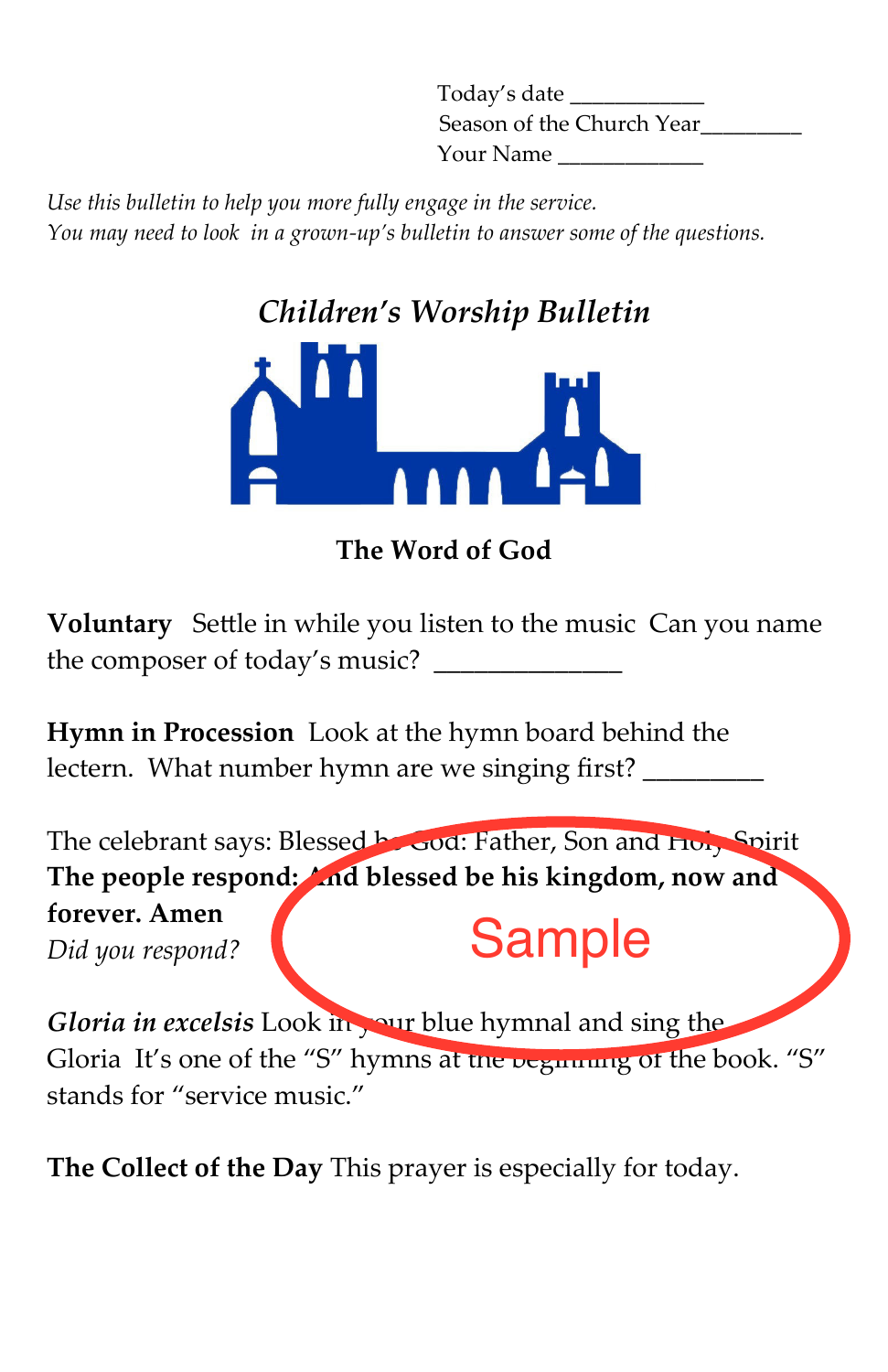Today's date \_\_\_\_\_\_\_\_\_\_\_\_ Season of the Church Year Your Name \_\_\_\_\_\_\_\_\_\_\_\_\_

Use this bulletin to help you more fully engage in the service. You may need to look in a grown*-*up's bulletin to answer some of the questions.



The Word of God

Voluntary Settle in while you listen to the music Can you name the composer of today's music?

Hymn in Procession Look at the hymn board behind the lectern. What number hymn are we singing first?

The celebrant says: Blessed **be God: Father, Son and Holy Spirit** The people respond: And blessed be his kingdom, now and forever. Amen Did you respond? Sample

Gloria in excelsis Look in your blue hymnal and sing the Gloria It's one of the "S" hymns at the vegnuing of the book. "S" stands for "service music."

The Collect of the Day This prayer is especially for today.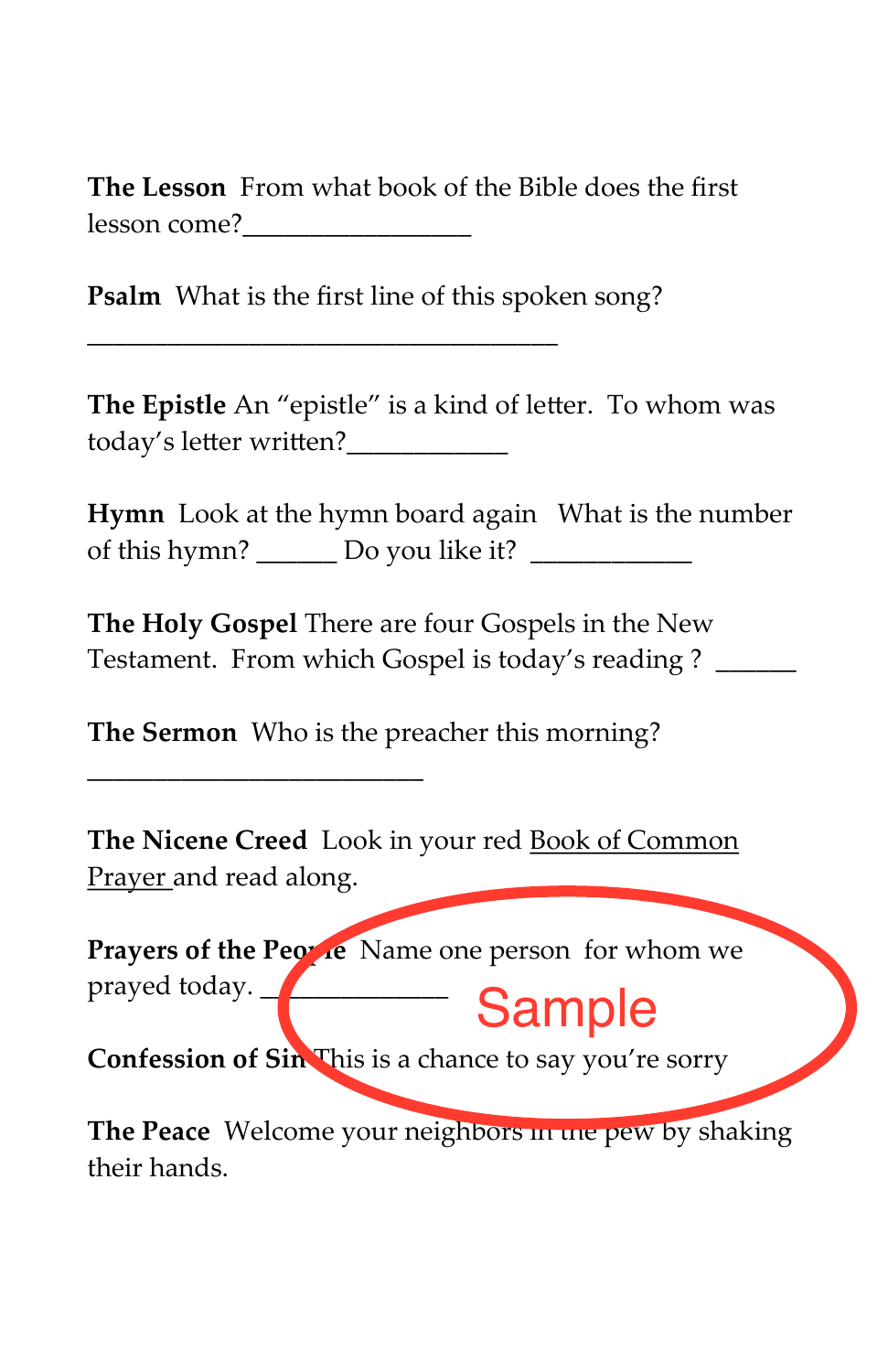The Lesson From what book of the Bible does the first lesson come?\_\_\_\_\_\_\_\_\_\_\_\_\_\_\_\_\_

Psalm What is the first line of this spoken song?

\_\_\_\_\_\_\_\_\_\_\_\_\_\_\_\_\_\_\_\_\_\_\_\_\_\_\_\_\_\_\_\_\_\_\_

The Epistle An "epistle" is a kind of letter. To whom was today's letter written?

Hymn Look at the hymn board again What is the number of this hymn? \_\_\_\_\_\_ Do you like it? \_\_\_\_\_\_\_\_\_\_\_\_

The Holy Gospel There are four Gospels in the New Testament. From which Gospel is today's reading ? \_\_\_\_\_\_

The Sermon Who is the preacher this morning?

\_\_\_\_\_\_\_\_\_\_\_\_\_\_\_\_\_\_\_\_\_\_\_\_\_

The Nicene Creed Look in your red Book of Common Prayer and read along.

Prayers of the People Name one person for whom we prayed today. **Conserver Complete** 

Confession of Sin This is a chance to say you're sorry

The Peace Welcome your neighbors in the pew by shaking their hands.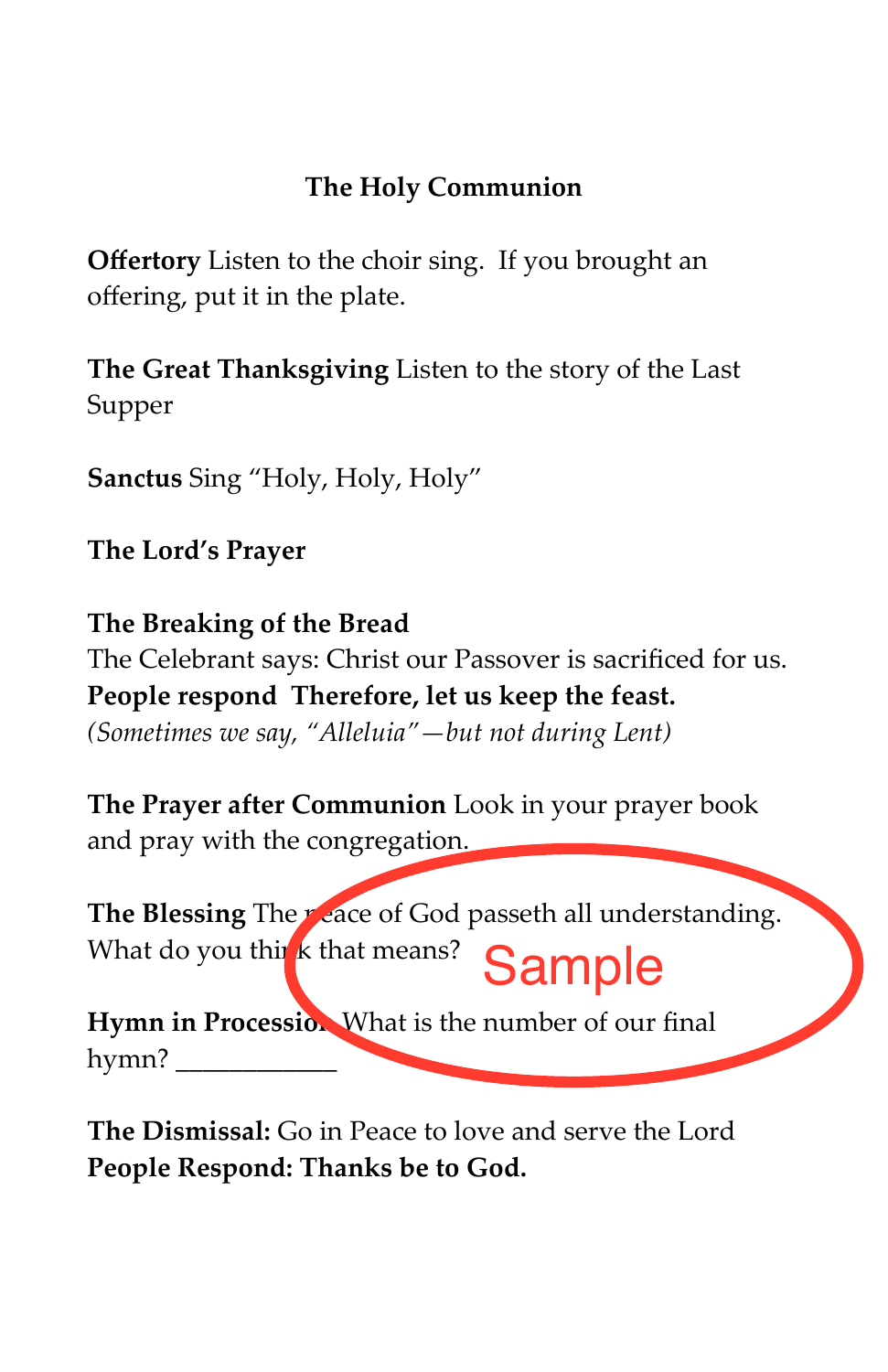## The Holy Communion

**Offertory** Listen to the choir sing. If you brought an ofering, put it in the plate.

The Great Thanksgiving Listen to the story of the Last Supper

Sanctus Sing "Holy, Holy, Holy"

The Lord's Prayer

The Breaking of the Bread The Celebrant says: Christ our Passover is sacrificed for us. People respond Therefore, let us keep the feast.  $(Sometimes we say, "Alleluia"—but not during Lent)$ 

The Prayer after Communion Look in your prayer book and pray with the congregation.

The Blessing The peace of God passeth all understanding. What do you think that means? Sample

Hymn in Procession. What is the number of our final hymn? \_\_\_\_\_\_\_\_\_\_\_\_

The Dismissal: Go in Peace to love and serve the Lord People Respond: Thanks be to God.